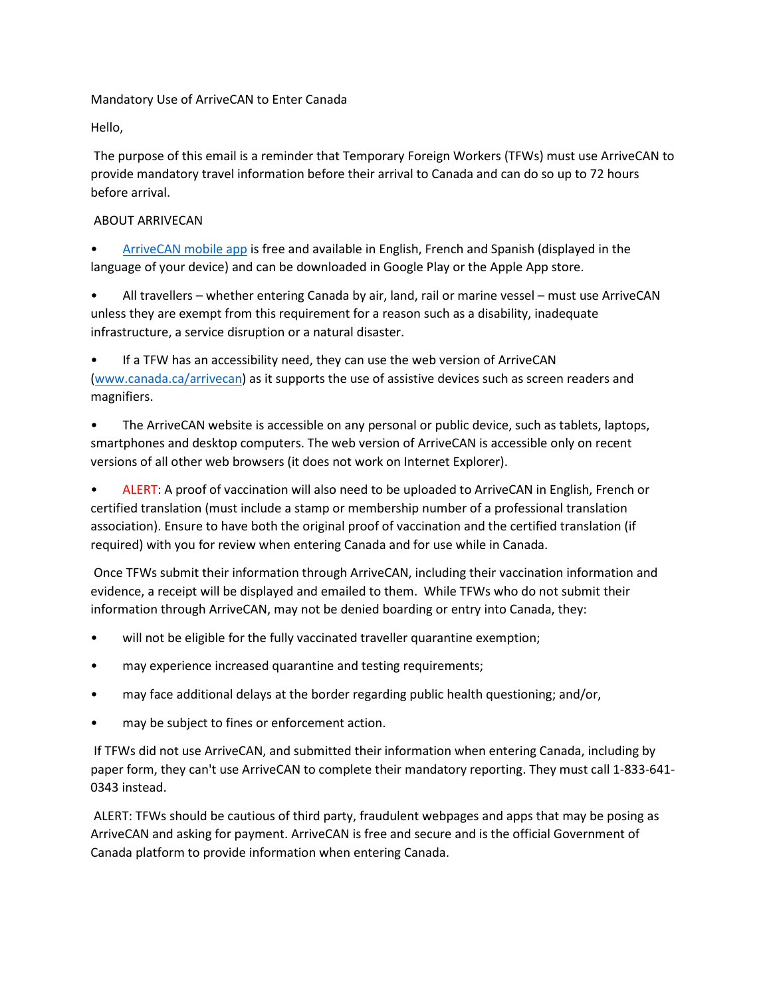## Mandatory Use of ArriveCAN to Enter Canada

Hello,

The purpose of this email is a reminder that Temporary Foreign Workers (TFWs) must use ArriveCAN to provide mandatory travel information before their arrival to Canada and can do so up to 72 hours before arrival.

## ABOUT ARRIVECAN

• [ArriveCAN mobile app](https://apps.apple.com/ca/developer/canada-border-services-agency/id1110491633) is free and available in English, French and Spanish (displayed in the language of your device) and can be downloaded in Google Play or the Apple App store.

• All travellers – whether entering Canada by air, land, rail or marine vessel – must use ArriveCAN unless they are exempt from this requirement for a reason such as a disability, inadequate infrastructure, a service disruption or a natural disaster.

• If a TFW has an accessibility need, they can use the web version of ArriveCAN [\(www.canada.ca/arrivecan\)](http://www.canada.ca/arrivecan) as it supports the use of assistive devices such as screen readers and magnifiers.

• The ArriveCAN website is accessible on any personal or public device, such as tablets, laptops, smartphones and desktop computers. The web version of ArriveCAN is accessible only on recent versions of all other web browsers (it does not work on Internet Explorer).

• ALERT: A proof of vaccination will also need to be uploaded to ArriveCAN in English, French or certified translation (must include a stamp or membership number of a professional translation association). Ensure to have both the original proof of vaccination and the certified translation (if required) with you for review when entering Canada and for use while in Canada.

Once TFWs submit their information through ArriveCAN, including their vaccination information and evidence, a receipt will be displayed and emailed to them. While TFWs who do not submit their information through ArriveCAN, may not be denied boarding or entry into Canada, they:

- will not be eligible for the fully vaccinated traveller quarantine exemption;
- may experience increased quarantine and testing requirements;
- may face additional delays at the border regarding public health questioning; and/or,
- may be subject to fines or enforcement action.

If TFWs did not use ArriveCAN, and submitted their information when entering Canada, including by paper form, they can't use ArriveCAN to complete their mandatory reporting. They must call 1-833-641- 0343 instead.

ALERT: TFWs should be cautious of third party, fraudulent webpages and apps that may be posing as ArriveCAN and asking for payment. ArriveCAN is free and secure and is the official Government of Canada platform to provide information when entering Canada.